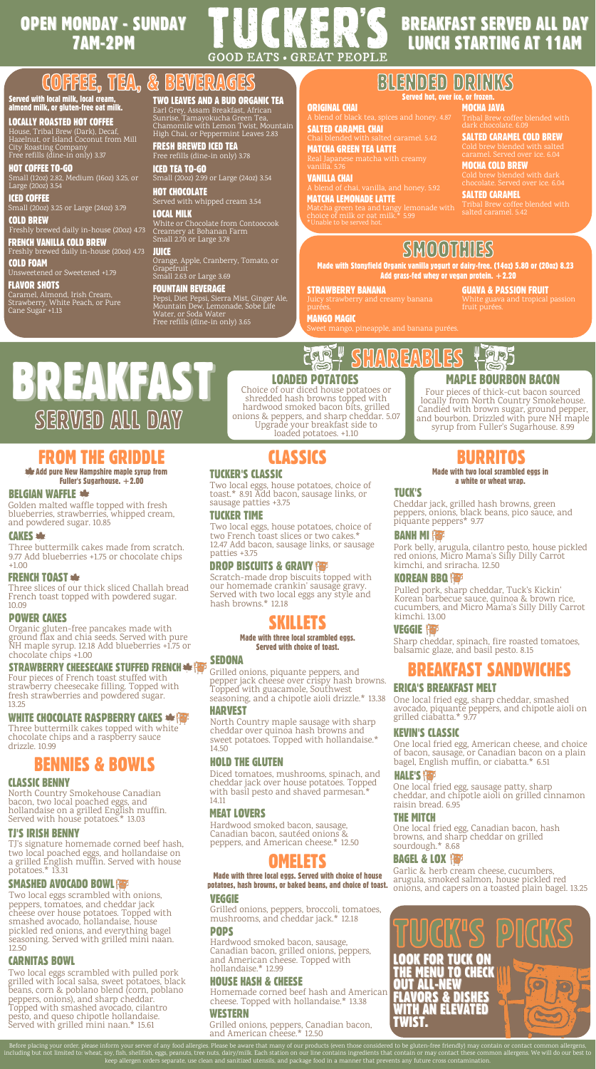# OPEN MONDAY - SUNDAY 7AM-2PM

# **GOOD EATS · GREAT PEOPLE** COFFEE, TEA, & BEVERAGES

## Served with local milk, local cream, almond milk, or gluten-free oat milk.

LOCALLY ROASTED HOT COFFEE

House, Tribal Brew (Dark), Decaf, Hazelnut, or Island Coconut from Mill City Roasting Company Free refills (dine-in only) 3.37

## HOT COFFEE TO-GO Small (12oz) 2.82, Medium (16oz) 3.25, or

Large (20oz) 3.54 ICED COFFEE

Small (20oz) 3.25 or Large (24oz) 3.79 COLD BREW

Freshly brewed daily in-house (20oz) 4.73 FRENCH VANILLA COLD BREW

# Freshly brewed daily in-house (20oz) 4.73

COLD FOAM Unsweetened or Sweetened +1.79

# **FLAVOR SHOTS**

Caramel, Almond, Irish Cream, Strawberry, White Peach, or Pure Cane Sugar +1.13

TWO LEAVES AND A BUD ORGANIC TEA Earl Grey, Assam Breakfast, African Sunrise, [Tamayokucha](https://www.google.com/search?client=safari&rls=en&q=Tamayokucha&spell=1&sa=X&ved=2ahUKEwi2xueostf2AhUpkokEHbPxBPsQkeECKAB6BAgBEDI) Green Tea, Chamomile with Lemon Twist, Mountain High Chai, or Peppermint Leaves 2.83

FRESH BREWED ICED TEA Free refills (dine-in only) 3.78

HOT CHOCOLATE ICED TEA TO-GO Small (20oz) 2.99 or Large (24oz) 3.54

## Served with whipped cream 3.54 LOCAL MILK

White or Chocolate from Contoocook Creamery at Bohanan Farm Small 2.70 or Large 3.78

# **JUICE**

Orange, Apple, Cranberry, Tomato, or Grapefruit Small 2.63 or Large 3.69

# FOUNTAIN BEVERAGE

Pepsi, Diet Pepsi, Sierra Mist, Ginger Ale, Mountain Dew, Lemonade, Sobe Life<br>Water, or Soda Water Free refills (dine-in only) 3.65

# BREAKFAST SERVED ALL DAY LUNCH STARTING AT 11AM

# Served hot, over ice, or frozen. BILENDED DRIINKS

# MOCHA JAVA

Tribal Brew coffee blended with dark chocolate. 6.09

SALTED CARAMEL COLD BREW Cold brew blended with salted

caramel. Served over ice. 6.04 MOCHA COLD BREW Cold brew blended with dark

SALTED CARAMEL

Tribal Brew coffee blended with

SMOOTHIES

Made with Stonyfield Organic vanilla yogurt or dairy-free. (14oz) 5.80 or (20oz) 8.23 Add grass-fed whey or vegan protein.  $+2.20$ 

# STRAWBERRY BANANA

ORIGINAL CHAI

**JCKER'S** 

VANILLA CHAI

SALTED CARAMEL CHAI

MATCHA GREEN TEA LATTE Real Japanese matcha with creamy

MATCHA LEMONADE LATTE

Matcha green tea and tangy lemonade with choice of milk or oat milk.\* 5.99 \*Unable to be served hot.

GUAVA & PASSION FRUIT White guava and tropical passion

MANGO MAGIC

SHAREABLES

d caramel. 5.42

BREAKFAST Choice of our diced house potatoes or SERVED ALL DAY

# FROM THE GRIDDLE **Example 1 CLASSICS BURRITOS**

Add pure New Hampshire maple syrup from Fuller's Sugarhouse.  $+2.00$ 

# BELGIAN WAFFLE

Golden malted waffle topped with fresh blueberries, strawberries, whipped cream, and powdered sugar. 10.85

# CAKES

Three buttermilk cakes made from scratch. 9.77 Add blueberries +1.75 or chocolate chips  $+1.00$ 

Three slices of our thick sliced Challah bread French toast topped with powdered sugar. 10.09 FRENCH TOAST \*\*

# POWER CAKES

Organic gluten-free pancakes made with ground flax and chia seeds. Served with pure NH maple syrup. 12.18 Add blueberries +1.75 or chocolate chips +1.00

# **STRAWBERRY CHEESECAKE STUFFED FRENCH \* {**

Four pieces of French toast stuffed with strawberry cheesecake filling. Topped with fresh strawberries and powdered sugar. 13.25

# WHITE CHOCOLATE RASPBERRY CAKES

Three buttermilk cakes topped with white chocolate chips and a raspberry sauce drizzle. 10.99

# BENNIES & BOWLS

# CLASSIC BENNY

North Country Smokehouse Canadian bacon, two local poached eggs, and hollandaise on a grilled English muffin. Served with house potatoes.\* 13.03

## TJ'S IRISH BENNY

TJ's signature homemade corned beef hash, two local poached eggs, and hollandaise on a grilled English muffin. Served with house potatoes.\* 13.31

# SMASHED AVOCADO BOWL

Two local eggs scrambled with onions, peppers, tomatoes, and cheddar jack cheese over house potatoes. Topped with smashed avocado, hollandaise, house pickled red onions, and everything bagel seasoning. Served with grilled mini naan. 12.50

## CARNITAS BOWL

Two local eggs scrambled with pulled pork grilled with local salsa, sweet potatoes, black beans, corn & poblano blend (corn, poblano peppers, onions), and sharp cheddar. Topped with smashed avocado, cilantro pesto, and queso chipotle hollandaise. Served with grilled mini naan.\* 15.61

# CLASSICS

shredded hash browns topped with hardwood smoked bacon bits, grilled onions & peppers, and sharp cheddar. 5.07 Upgrade your breakfast side to loaded potatoes. +1.10

# TUCKER'S CLASSIC

Two local eggs, house potatoes, choice of toast.\* 8.91 Add bacon, sausage links, or sausage patties +3.75

## TUCKER TIME

Two local eggs, house potatoes, choice of two French toast slices or two cakes.\* 12.47 Add bacon, sausage links, or sausage patties +3.75

# DROP BISCUITS & GRAVY

Scratch-made drop biscuits topped with our homemade crankin' sausage gravy. Served with two local eggs any style and hash browns.\* 12.18

# SKILLETS

### Made with three local scrambled eggs. Served with choice of toast.

## SEDONA

Grilled onions, piquante peppers, and pepper jack cheese over crispy hash browns. Topped with guacamole, Southwest seasoning, and a chipotle aioli drizzle.\* 13.38

## HARVEST

North Country maple sausage with sharp cheddar over quinoa hash browns and sweet potatoes. Topped with hollandaise.\* 14.50

# HOLD THE GLUTEN

Diced tomatoes, mushrooms, spinach, and cheddar jack over house potatoes. Topped with basil pesto and shaved parmesan.\* 14.11

# MEAT LOVERS

Hardwood smoked bacon, sausage, Canadian bacon, sautéed onions & peppers, and American cheese.\* 12.50

# **OMELETS**

potatoes, hash browns, or baked beans, and choice of toast. Indiacal capers on a toasted plain bagel. 13.25 pot Made with three local eggs. Served with choice of house

# VEGGIE

Grilled onions, peppers, broccoli, tomatoes, mushrooms, and cheddar jack.\* 12.18 POPS

Hardwood smoked bacon, sausage, Canadian bacon, grilled onions, peppers, and American cheese. Topped with hollandaise.\* 12.99

# HOUSE HASH & CHEESE

Homemade corned beef hash and American cheese. Topped with hollandaise.\* 13.38

Before placing your order, please inform your server of any food allergies. Please be aware that many of our products (even those considered to be gluten-free friendly) may contain or contact common allergens,<br>including bu

# WESTERN

Grilled onions, peppers, Canadian bacon, and American cheese.\* 12.50

# $\Box$ **MAPLE BOURBON BACON**

Lars

Four pieces of thick-cut bacon sourced locally from North Country Smokehouse. Candied with brown sugar, ground pepper, and bourbon. Drizzled with pure NH maple syrup from Fuller's Sugarhouse. 8.99

### Made with two local scrambled eggs in a white or wheat wrap.

## TUCK'S

Cheddar jack, grilled hash browns, green peppers, onions, black beans, pico sauce, and piquante peppers\* 9.77

# **BANH MI**

Pork belly, arugula, cilantro pesto, house pickled red onions, Micro Mama's Silly Dilly Carrot kimchi, and sriracha. 12.50

# KOREAN BBQ

Pulled pork, sharp cheddar, Tuck's Kickin' Korean barbecue sauce, quinoa & brown rice, cucumbers, and Micro Mama's Silly Dilly Carrot kimchi. 13.00

# VEGGIE **Ha**p

ERICA'S BREAKFAST MELT

grilled ciabatta.\* 9.77 KEVIN'S CLASSIC

**HALE'S <b>Has** 

BAGEL & LOX

sourdough.\* 8.68

raisin bread. 6.95 THE MITCH

Garlic & herb cream cheese, cucumbers,<br>arugula, smoked salmon, house pickled red arugula, smoked salmon, house pickled red

TUCK'S PICKS

TUCK ON

**& DISHES** 

THE MENU TO CHECK

**TH AN ELEVATED** 

OUT ALL-NEW

TWIST.

Sharp cheddar, spinach, fire roasted tomatoes, balsamic glaze, and basil pesto. 8.15

BREAKFAST SANDWICHES

One local fried egg, American cheese, and choice of bacon, sausage, or Canadian bacon on a plain

One local fried egg, sharp cheddar, smashed avocado, piquante peppers, and chipotle aioli on

bagel, English muffin, or ciabatta.\* 6.51

One local fried egg, sausage patty, sharp cheddar, and chipotle aioli on grilled cinnamon

One local fried egg, Canadian bacon, hash browns, and sharp cheddar on grilled